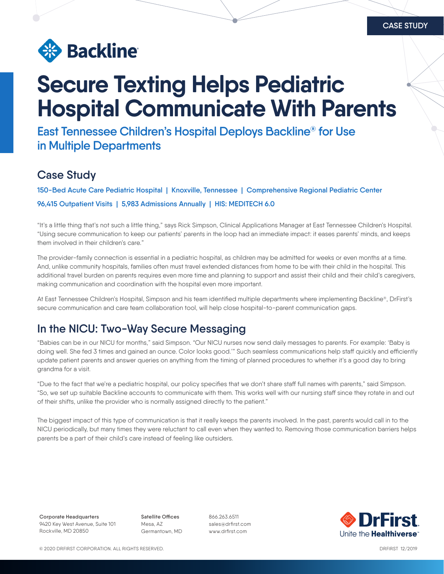

# **Secure Texting Helps Pediatric Hospital Communicate With Parents**

**East Tennessee Children's Hospital Deploys Backline® for Use in Multiple Departments**

#### **Case Study**

**150-Bed Acute Care Pediatric Hospital | Knoxville, Tennessee | Comprehensive Regional Pediatric Center 96,415 Outpatient Visits | 5,983 Admissions Annually | HIS: MEDITECH 6.0**

"It's a little thing that's not such a little thing," says Rick Simpson, Clinical Applications Manager at East Tennessee Children's Hospital. "Using secure communication to keep our patients' parents in the loop had an immediate impact: it eases parents' minds, and keeps them involved in their children's care."

The provider-family connection is essential in a pediatric hospital, as children may be admitted for weeks or even months at a time. And, unlike community hospitals, families often must travel extended distances from home to be with their child in the hospital. This additional travel burden on parents requires even more time and planning to support and assist their child and their child's caregivers, making communication and coordination with the hospital even more important.

At East Tennessee Children's Hospital, Simpson and his team identified multiple departments where implementing Backline®, DrFirst's secure communication and care team collaboration tool, will help close hospital-to-parent communication gaps.

#### **In the NICU: Two-Way Secure Messaging**

"Babies can be in our NICU for months," said Simpson. "Our NICU nurses now send daily messages to parents. For example: 'Baby is doing well. She fed 3 times and gained an ounce. Color looks good.'" Such seamless communications help staff quickly and efficiently update patient parents and answer queries on anything from the timing of planned procedures to whether it's a good day to bring grandma for a visit.

"Due to the fact that we're a pediatric hospital, our policy specifies that we don't share staff full names with parents," said Simpson. "So, we set up suitable Backline accounts to communicate with them. This works well with our nursing staff since they rotate in and out of their shifts, unlike the provider who is normally assigned directly to the patient."

The biggest impact of this type of communication is that it really keeps the parents involved. In the past, parents would call in to the NICU periodically, but many times they were reluctant to call even when they wanted to. Removing those communication barriers helps parents be a part of their child's care instead of feeling like outsiders.

**Corporate Headquarters** 9420 Key West Avenue, Suite 101 Rockville, MD 20850

**Satellite Offices** Mesa, AZ Germantown, MD 866.263.6511 sales@drfirst.com www.drfirst.com



© 2020 DRFIRST CORPORATION. ALL RIGHTS RESERVED. DRFIRST 12/2019